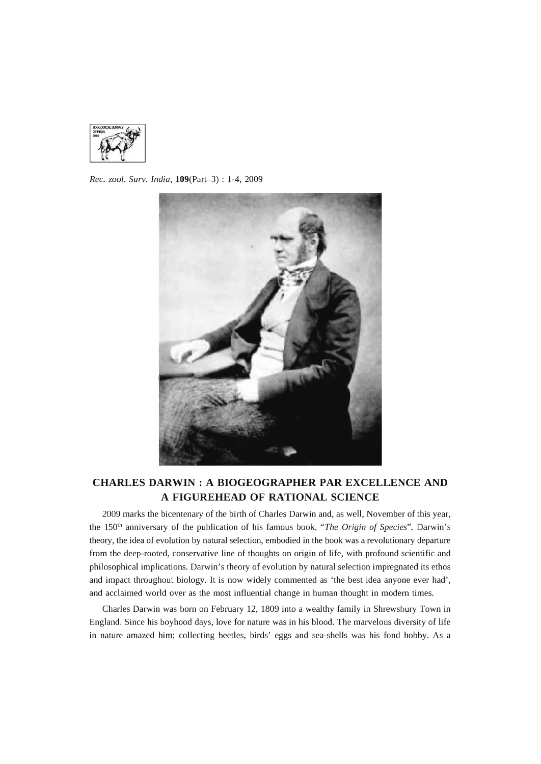

*Rec. zool. Surv. India,* 109(Part-3) : 1-4, 2009



## **CHARLES DARWIN: A BIOGEOGRAPHER PAR EXCELLENCE AND A FIGUREHEAD OF RATIONAL SCIENCE**

2009 marks the bicentenary of the birth of Charles Darwin and, as well, November of this year, the 150th anniversary of the publication of his famous book, *"The Origin* of *Species".* Darwin's theory, the idea of evolution by natural selection, embodied in the book was a revolutionary departure from the deep-rooted, conservative line of thoughts on origin of life, with profound scientific and philosophical implications. Darwin's theory of evolution by natural selection impregnated its ethos and impact throughout biology. It is now widely commented as 'the best idea anyone ever had', and acclaimed world over as the most influential change in human thought in modern times.

Charles Darwin was born on February 12, 1809 into a wealthy family in Shrewsbury Town in England. Since his boyhood days, love for nature was in his blood. The marvelous diversity of life in nature amazed him; collecting beetles, birds' eggs and sea-shells was his fond hobby. As a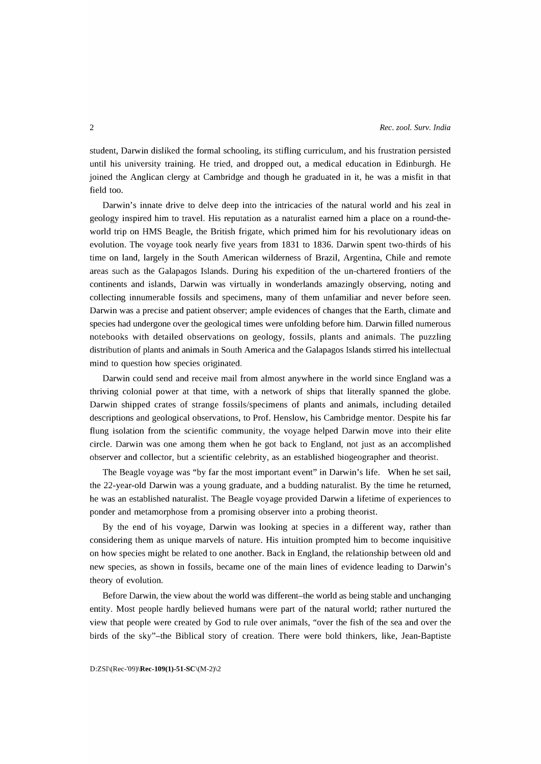student, Darwin disliked the formal schooling, its stifling curriculum, and his frustration persisted until his university training. He tried, and dropped out, a medical education in Edinburgh. He joined the Anglican clergy at Cambridge and though he graduated in it, he was a misfit in that field too.

Darwin's innate drive to delve deep into the intricacies of the natural world and his zeal in geology inspired him to travel. His reputation as a naturalist earned him a place on a round-theworld trip on HMS Beagle, the British frigate, which primed him for his revolutionary ideas on evolution. The voyage took nearly five years from 1831 to 1836. Darwin spent two-thirds of his time on land, largely in the South American wilderness of Brazil, Argentina, Chile and remote areas such as the Galapagos Islands. During his expedition of the un-chartered frontiers of the continents and islands, Darwin was virtually in wonderlands amazingly observing, noting and collecting innumerable fossils and specimens, many of them unfamiliar and never before seen. Darwin was a precise and patient observer; ample evidences of changes that the Earth, climate and species had undergone over the geological times were unfolding before him. Darwin filled numerous notebooks with detailed observations on geology, fossils, plants and animals. The puzzling distribution of plants and animals in South America and the Galapagos Islands stirred his intellectual mind to question how species originated.

Darwin could send and receive mail from almost anywhere in the world since England was a thriving colonial power at that time, with a network of ships that literally spanned the globe. Darwin shipped crates of strange fossils/specimens of plants and animals, including detailed descriptions and geological observations, to Prof. Henslow, his Cambridge mentor. Despite his far flung isolation from the scientific community, the voyage helped Darwin move into their elite circle. Darwin was one among them when he got back to England, not just as an accomplished observer and collector, but a scientific celebrity, as an established biogeographer and theorist.

The Beagle voyage was "by far the most important event" in Darwin's life. When he set sail, the 22-year-old Darwin was a young graduate, and a budding naturalist. By the time he returned, he was an established naturalist. The Beagle voyage provided Darwin a lifetime of experiences to ponder and metamorphose from a promising observer into a probing theorist.

By the end of his voyage, Darwin was looking at species in a different way, rather than considering them as unique marvels of nature. His intuition prompted him to become inquisitive on how species might be related to one another. Back in England, the relationship between old and new species, as shown in fossils, became one of the main lines of evidence leading to Darwin's theory of evolution.

Before Darwin, the view about the world was different-the world as being stable and unchanging entity. Most people hardly believed humans were part of the natural world; rather nurtured the view that people were created by God to rule over animals, "over the fish of the sea and over the birds of the sky"-the Biblical story of creation. There were bold thinkers, like, Jean-Baptiste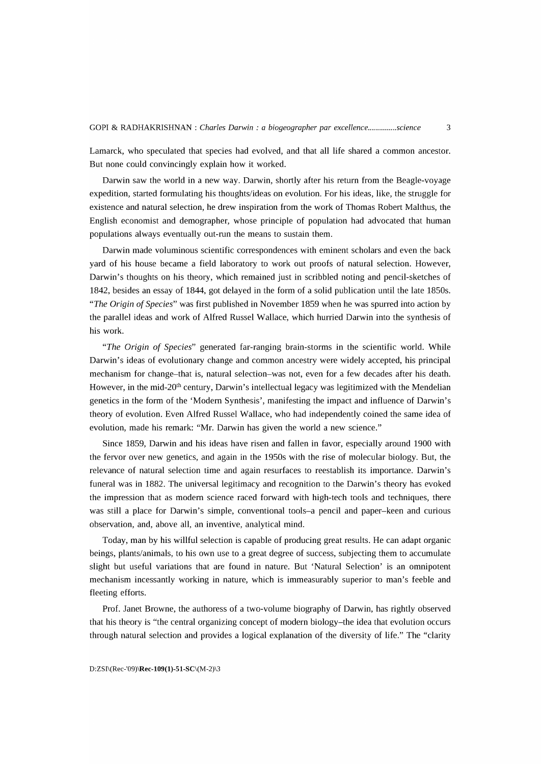Lamarck, who speculated that species had evolved, and that all life shared a common ancestor. But none could convincingly explain how it worked.

Darwin saw the world in a new way. Darwin, shortly after his return from the Beagle-voyage expedition, started formulating his thoughts/ideas on evolution. For his ideas, like, the struggle for existence and natural selection, he drew inspiration from the work of Thomas Robert Malthus, the English economist and demographer, whose principle of population had advocated that human populations always eventually out-run the means to sustain them.

Darwin made voluminous scientific correspondences with eminent scholars and even the back yard of his house became a field laboratory to work out proofs of natural selection. However, Darwin's thoughts on his theory, which remained just in scribbled noting and pencil-sketches of 1842, besides an essay of 1844, got delayed in the form of a solid publication until the late 1850s. *"The Origin* of *Species"* was first published in November 1859 when he was spurred into action by the parallel ideas and work of Alfred Russel Wallace, which hurried Darwin into the synthesis of his work.

*"The Origin* of *Species"* generated far-ranging brain-storms in the scientific world. While Darwin's ideas of evolutionary change and common ancestry were widely accepted, his principal mechanism for change-that is, natural selection-was not, even for a few decades after his death. However, in the mid-20<sup>th</sup> century, Darwin's intellectual legacy was legitimized with the Mendelian genetics in the form of the 'Modern Synthesis', manifesting the impact and influence of Darwin's theory of evolution. Even Alfred Russel Wallace, who had independently coined the same idea of evolution, made his remark: "Mr. Darwin has given the world a new science."

Since 1859, Darwin and his ideas have risen and fallen in favor, especially around 1900 with the fervor over new genetics, and again in the 1950s with the rise of molecular biology. But, the relevance of natural selection time and again resurfaces to reestablish its importance. Darwin's funeral was in 1882. The universal legitimacy and recognition to the Darwin's theory has evoked the impression that as modern science raced forward with high-tech tools and techniques, there was still a place for Darwin's simple, conventional tools-a pencil and paper-keen and curious observation, and, above all, an inventive, analytical mind.

Today, man by his willful selection is capable of producing great results. He can adapt organic beings, plants/animals, to his own use to a great degree of success, subjecting them to accumulate slight but useful variations that are found in nature. But 'Natural Selection' is an omnipotent mechanism incessantly working in nature, which is immeasurably superior to man's feeble and fleeting efforts.

Prof. Janet Browne, the authoress of a two-volume biography of Darwin, has rightly observed that his theory is "the central organizing concept of modern biology-the idea that evolution occurs through natural selection and provides a logical explanation of the diversity of life." The "clarity